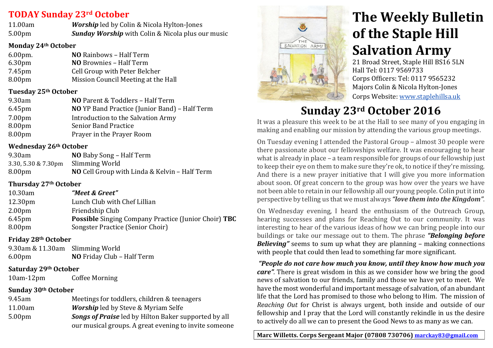# **TODAY Sunday&23rd October &&**

| 11.00am            | <b>Worship</b> led by Colin & Nicola Hylton-Jones        |
|--------------------|----------------------------------------------------------|
| 5.00 <sub>pm</sub> | <b>Sunday Worship</b> with Colin & Nicola plus our music |

#### **Monday&24th October**

| $6.00pm$ .         | <b>NO</b> Rainbows - Half Term      |
|--------------------|-------------------------------------|
| 6.30 <sub>pm</sub> | <b>NO</b> Brownies - Half Term      |
| 7.45pm             | Cell Group with Peter Belcher       |
| 8.00 <sub>pm</sub> | Mission Council Meeting at the Hall |

### **Tuesday&25th October**

| 9.30am             | NO Parent & Toddlers - Half Term                     |
|--------------------|------------------------------------------------------|
| 6.45 <sub>pm</sub> | <b>NO</b> YP Band Practice (Junior Band) – Half Term |
| 7.00 <sub>pm</sub> | Introduction to the Salvation Army                   |
| 8.00pm             | <b>Senior Band Practice</b>                          |
| 8.00 <sub>pm</sub> | Prayer in the Prayer Room                            |

### **Wednesday&26th October**

| 9.30am                             | <b>NO</b> Baby Song – Half Term               |
|------------------------------------|-----------------------------------------------|
| 3.30, 5.30 & 7.30pm Slimming World |                                               |
| 8.00 <sub>pm</sub>                 | NO Cell Group with Linda & Kelvin - Half Term |

### **Thursday&27th October**

| $10.30$ am          | "Meet & Greet"                                                     |
|---------------------|--------------------------------------------------------------------|
| 12.30 <sub>pm</sub> | Lunch Club with Chef Lillian                                       |
| 2.00 <sub>pm</sub>  | Friendship Club                                                    |
| $6.45$ pm           | <b>Possible</b> Singing Company Practice (Junior Choir) <b>TBC</b> |
| 8.00 <sub>pm</sub>  | Songster Practice (Senior Choir)                                   |

### **Friday&28th October**

| 9.30am & 11.30am Slimming World |                                   |
|---------------------------------|-----------------------------------|
| 6.00 <sub>pm</sub>              | <b>NO</b> Friday Club - Half Term |

### **Saturday&29th October**

10am-12pm Coffee Morning

# **Sunday&30th October**

| 9.45am             | Meetings for toddlers, children & teenagers                 |
|--------------------|-------------------------------------------------------------|
| 11.00am            | <b>Worship</b> led by Steve & Myriam Selfe                  |
| 5.00 <sub>pm</sub> | <b>Songs of Praise</b> led by Hilton Baker supported by all |
|                    | our musical groups. A great evening to invite someone       |
|                    |                                                             |



# **The Weekly Bulletin of the Staple Hill Salvation Army**

21 Broad Street, Staple Hill BS16 5LN Hall Tel: 0117 9569733 Corps Officers: Tel: 0117 9565232 Majors Colin & Nicola Hylton-Jones Corps Website: www.staplehillsa.uk

# **Sunday&23rd October 2016**

It was a pleasure this week to be at the Hall to see many of you engaging in making and enabling our mission by attending the various group meetings.

On Tuesday evening I attended the Pastoral Group – almost 30 people were there passionate about our fellowships welfare. It was encouraging to hear what is already in place – a team responsible for groups of our fellowship just to keep their eye on them to make sure they're ok, to notice if they're missing. And there is a new prayer initiative that I will give you more information about soon. Of great concern to the group was how over the years we have not been able to retain in our fellowship all our young people. Colin put it into perspective by telling us that we must always *"love them into the Kingdom"*.

On Wednesday evening, I heard the enthusiasm of the Outreach Group, hearing successes and plans for Reaching Out to our community. It was interesting to hear of the various ideas of how we can bring people into our buildings or take our message out to them. The phrase "**Belonging before** *Believing*" seems to sum up what they are planning – making connections with people that could then lead to something far more significant.

*"People.do.not.care.how.much.you.know,.until.they.know.how.much.you. care*. There is great wisdom in this as we consider how we bring the good news of salvation to our friends, family and those we have yet to meet. We have the most wonderful and important message of salvation, of an abundant life that the Lord has promised to those who belong to Him. The mission of *Reaching Out* for Christ is always urgent, both inside and outside of our fellowship and I pray that the Lord will constantly rekindle in us the desire to actively do all we can to present the Good News to as many as we can.

**Marc&Willetts.&Corps&Sergeant&Major&(07808&730706)&marckay83@gmail.com**